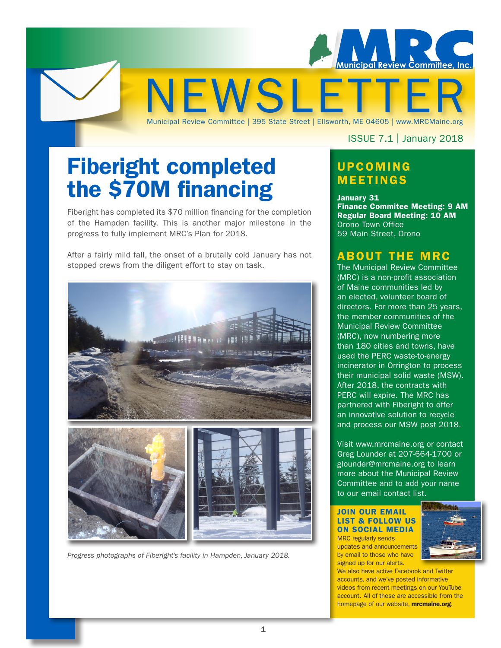

Fiberight completed the \$70M financing

Fiberight has completed its \$70 million financing for the completion of the Hampden facility. This is another major milestone in the progress to fully implement MRC's Plan for 2018.

After a fairly mild fall, the onset of a brutally cold January has not stopped crews from the diligent effort to stay on task.



*Progress photographs of Fiberight's facility in Hampden, January 2018.*

ISSUE 7.1 | January 2018

### UPCOMING MEETINGS

Municipal Review Committee | 395 State Street | Ellsworth, ME 04605 | www.MRCMaine.org

January 31 Finance Commitee Meeting: 9 AM Regular Board Meeting: 10 AM Orono Town Office 59 Main Street, Orono

#### ABOUT THE MRC

The Municipal Review Committee (MRC) is a non-profit association of Maine communities led by an elected, volunteer board of directors. For more than 25 years, the member communities of the Municipal Review Committee (MRC), now numbering more than 180 cities and towns, have used the PERC waste-to-energy incinerator in Orrington to process their municipal solid waste (MSW). After 2018, the contracts with PERC will expire. The MRC has partnered with Fiberight to offer an innovative solution to recycle and process our MSW post 2018.

Visit www.mrcmaine.org or contact Greg Lounder at 207-664-1700 or glounder@mrcmaine.org to learn more about the Municipal Review Committee and to add your name to our email contact list.

JOIN OUR EMAIL LIST & FOLLOW US ON SOCIAL MEDIA MRC regularly sends updates and announcements by email to those who have

signed up for our alerts.



We also have active Facebook and Twitter accounts, and we've posted informative videos from recent meetings on our YouTube account. All of these are accessible from the homepage of our website, **mrcmaine.org**.